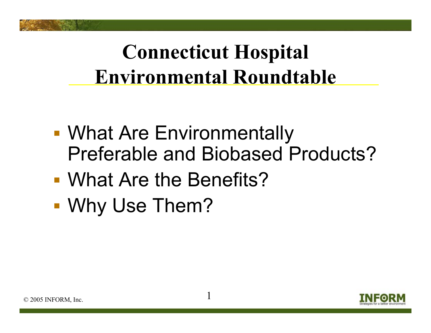## **Connecticut Hospital Environmental Roundtable**

- **• What Are Environmentally** Preferable and Biobased Products?
- What Are the Benefits?
- Why Use Them?

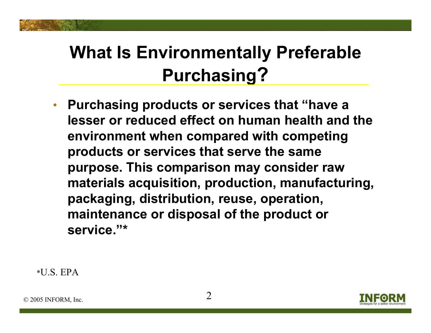#### **What Is Environmentally Preferable Purchasing?**

• **Purchasing products or services that "have a lesser or reduced effect on human health and the environment when compared with competing products or services that serve the same purpose. This comparison may consider raw materials acquisition, production, manufacturing, packaging, distribution, reuse, operation, maintenance or disposal of the product or service."\***

\*U.S. EPA

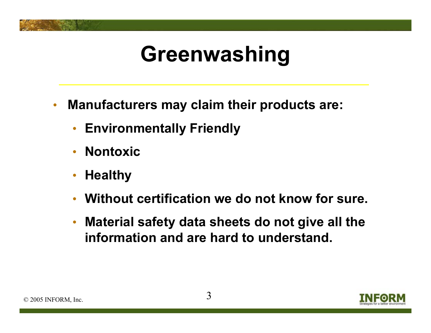# **Greenwashing**

- • **Manufacturers may claim their products are:**
	- **Environmentally Friendly**
	- •**Nontoxic**
	- $\bullet$ **Healthy**
	- $\bullet$ **Without certification we do not know for sure.**
	- $\bullet$  **Material safety data sheets do not give all the information and are hard to understand.**

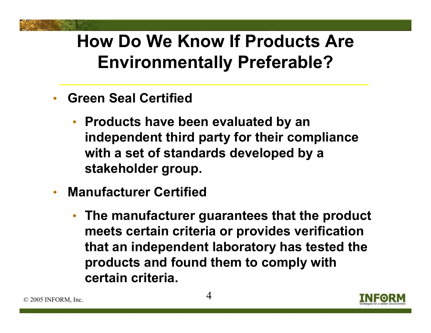#### **How Do We Know If Products Are Environmentally Preferable?**

- $\bullet$  **Green Seal Certified**
	- **Products have been evaluated by an independent third party for their compliance with a set of standards developed by a stakeholder group.**
- • **Manufacturer Certified** 
	- **The manufacturer guarantees that the product meets certain criteria or provides verification that an independent laboratory has tested the products and found them to comply with certain criteria.**

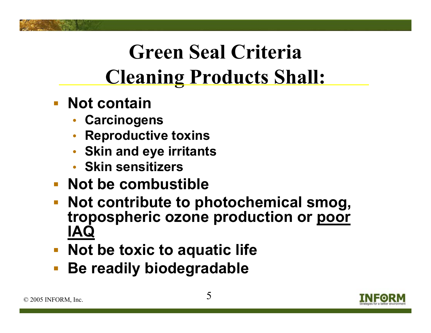# **Green Seal Criteria Cleaning Products Shall:**

- **Not contain** 
	- **Carcinogens**
	- •**Reproductive toxins**
	- **Skin and eye irritants**
	- **Skin sensitizers**
- **Not be combustible**
- **Not contribute to photochemical smog, tropospheric ozone production or poor IAQ**
- **Not be toxic to aquatic life**
- $\mathcal{L}_{\mathcal{A}}$ **Be readily biodegradable**

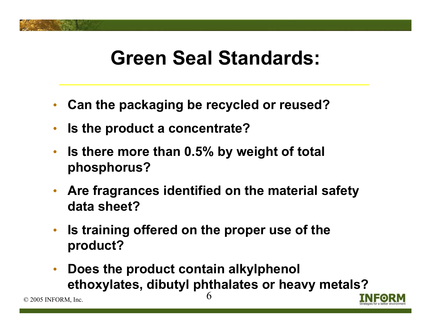### **Green Seal Standards:**

- $\bullet$ **Can the packaging be recycled or reused?**
- $\bullet$ **Is the product a concentrate?**
- $\bullet$  **Is there more than 0.5% by weight of total phosphorus?**
- **Are fragrances identified on the material safety data sheet?**
- **Is training offered on the proper use of the product?**
- $\bullet$  **Does the product contain alkylphenol ethoxylates, dibutyl phthalates or heavy metals?**



 $© 2005 INFORM, Inc.$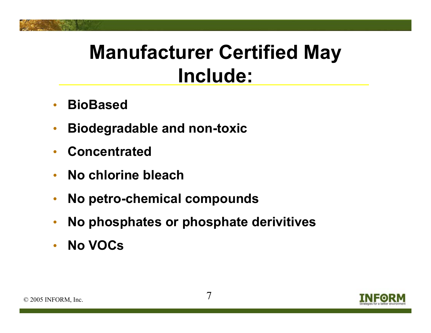### **Manufacturer Certified May Include:**

- $\bullet$ **BioBased**
- $\bullet$ **Biodegradable and non-toxic**
- $\bullet$ **Concentrated**
- $\bullet$ **No chlorine bleach**
- $\bullet$ **No petro-chemical compounds**
- $\bullet$ **No phosphates or phosphate derivitives**
- $\bullet$ **No VOCs**

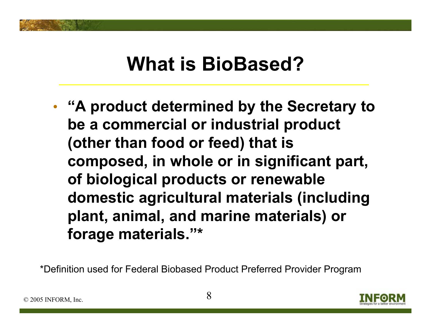### **What is BioBased?**

• **"A product determined by the Secretary to be a commercial or industrial product (other than food or feed) that is composed, in whole or in significant part, of biological products or renewable domestic agricultural materials (including plant, animal, and marine materials) or forage materials."\***

\*Definition used for Federal Biobased Product Preferred Provider Program

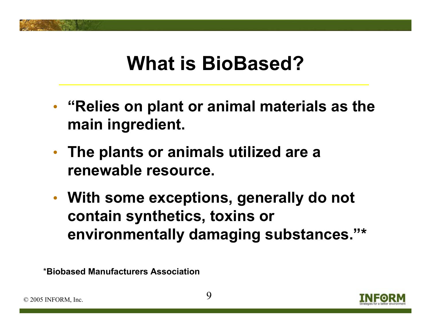### **What is BioBased?**

- • **"Relies on plant or animal materials as the main ingredient.**
- • **The plants or animals utilized are a renewable resource.**
- • **With some exceptions, generally do not contain synthetics, toxins or environmentally damaging substances."\***

\***Biobased Manufacturers Association**



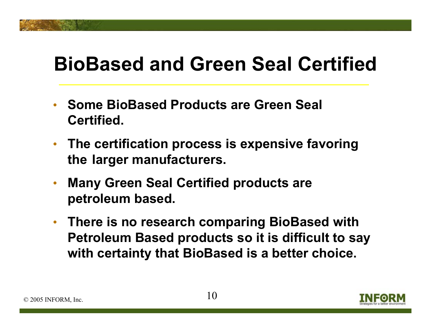### **BioBased and Green Seal Certified**

- **Some BioBased Products are Green Seal Certified.**
- **The certification process is expensive favoring the larger manufacturers.**
- • **Many Green Seal Certified products are petroleum based.**
- **There is no research comparing BioBased with Petroleum Based products so it is difficult to say with certainty that BioBased is a better choice.**

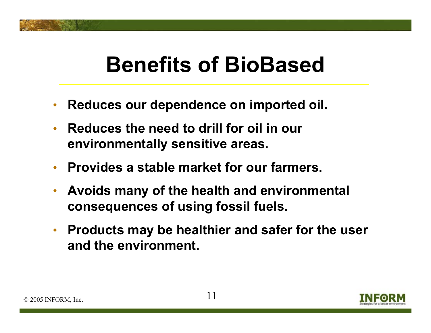# **Benefits of BioBased**

- $\bullet$ **Reduces our dependence on imported oil.**
- $\bullet$  **Reduces the need to drill for oil in our environmentally sensitive areas.**
- **Provides a stable market for our farmers.**
- $\bullet$  **Avoids many of the health and environmental consequences of using fossil fuels.**
- **Products may be healthier and safer for the user and the environment.**

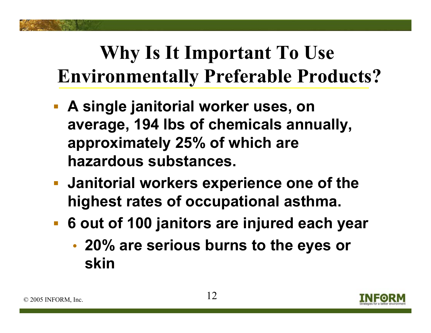## **Why Is It Important To Use Environmentally Preferable Products?**

- **A single janitorial worker uses, on average, 194 lbs of chemicals annually, approximately 25% of which are hazardous substances.**
- **Janitorial workers experience one of the highest rates of occupational asthma.**
- **6 out of 100 janitors are injured each year**
	- • **20% are serious burns to the eyes or skin**

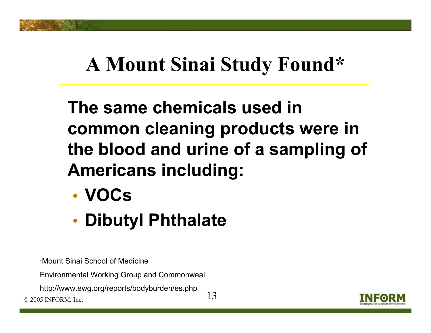## **A Mount Sinai Study Found\***

#### **The same chemicals used in common cleaning products were in the blood and urine of a sampling of Americans including:**

- **VOCs**
- •**Dibutyl Phthalate**

\*Mount Sinai School of Medicine

Environmental Working Group and Commonweal

 $\frac{13}{2005}$  O 2005 INFORM, Inc. http://www.ewg.org/reports/bodyburden/es.php

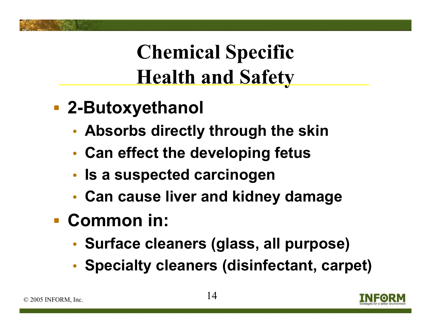## **Chemical Specific Health and Safety**

- **2-Butoxyethanol**
	- •**Absorbs directly through the skin**
	- •**Can effect the developing fetus**
	- •**Is a suspected carcinogen**
	- •**Can cause liver and kidney damage**
- **Common in:**
	- •**Surface cleaners (glass, all purpose)**
	- •**Specialty cleaners (disinfectant, carpet)**

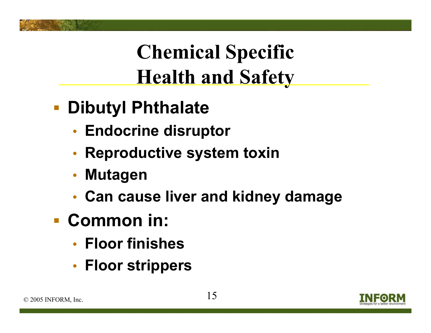## **Chemical Specific Health and Safety**

- $\mathbb{R}^2$  **Dibutyl Phthalate**
	- •**Endocrine disruptor**
	- •**Reproductive system toxin**
	- $\bullet$ **Mutagen**
	- •**Can cause liver and kidney damage**
- **Common in:**
	- **Floor finishes**
	- •**Floor strippers**

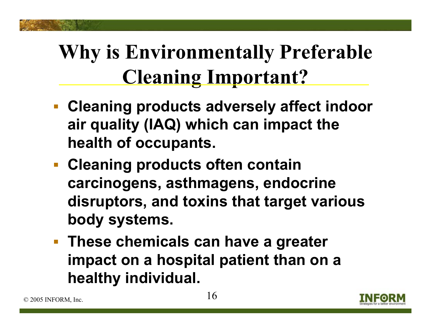## **Why is Environmentally Preferable Cleaning Important?**

- **Cleaning products adversely affect indoor air quality (IAQ) which can impact the health of occupants.**
- **Cleaning products often contain carcinogens, asthmagens, endocrine disruptors, and toxins that target various body systems.**
- **These chemicals can have a greater impact on a hospital patient than on a healthy individual.**

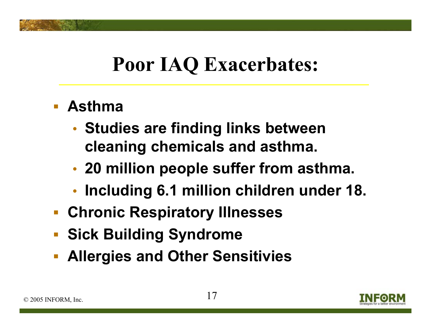### **Poor IAQ Exacerbates:**

- **Asthma**
	- • **Studies are finding links between cleaning chemicals and asthma.**
	- •**20 million people suffer from asthma.**
	- •**Including 6.1 million children under 18.**
- **Chronic Respiratory Illnesses**
- $\mathbb{R}^n$ **Sick Building Syndrome**
- $\overline{\mathbb{R}^2}$ **Allergies and Other Sensitivies**

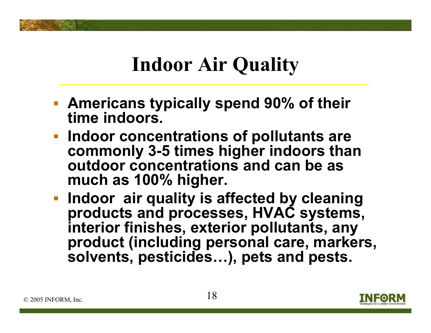## **Indoor Air Quality**

- **Americans typically spend 90% of their time indoors.**
- **Indoor concentrations of pollutants are commonly 3-5 times higher indoors than outdoor concentrations and can be as much as 100% higher.**
- **Indoor air quality is affected by cleaning products and processes, HVAC systems, interior finishes, exterior pollutants, any product (including personal care, markers, solvents, pesticides…), pets and pests.**

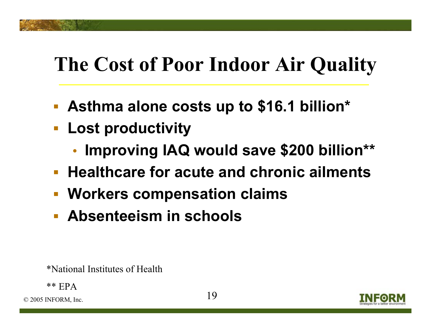### **The Cost of Poor Indoor Air Quality**

- $\mathcal{L}_{\mathcal{A}}$ **Asthma alone costs up to \$16.1 billion\***
- **Lost productivity**
	- •**Improving IAQ would save \$200 billion\*\***
- **Healthcare for acute and chronic ailments**
- **Workers compensation claims**
- **Absenteeism in schools**

\*National Institutes of Health

\*\* EPA

 $\degree$  2005 INFORM, Inc.  $19$ 

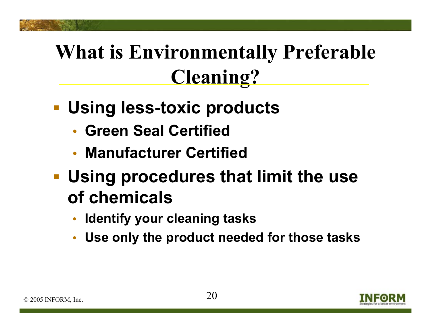## **What is Environmentally Preferable Cleaning?**

- **Using less-toxic products**
	- **Green Seal Certified**
	- **Manufacturer Certified**
- **Using procedures that limit the use of chemicals**
	- •**Identify your cleaning tasks**
	- $\bullet$ **Use only the product needed for those tasks**

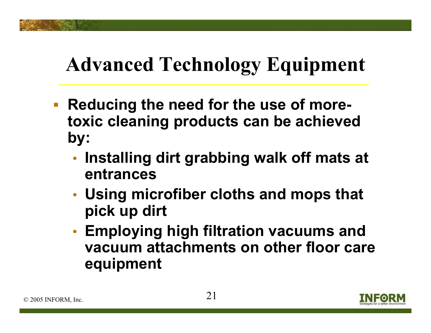## **Advanced Technology Equipment**

- $\Box$  **Reducing the need for the use of moretoxic cleaning products can be achieved by:**
	- • **Installing dirt grabbing walk off mats at entrances**
	- • **Using microfiber cloths and mops that pick up dirt**
	- • **Employing high filtration vacuums and vacuum attachments on other floor care equipment**

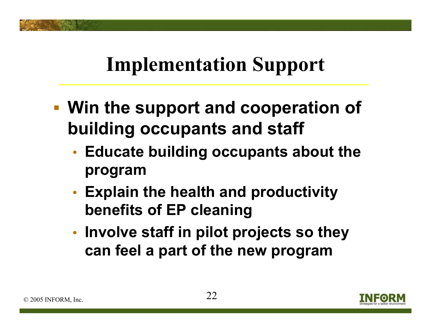### **Implementation Support**

- **Win the support and cooperation of building occupants and staff**
	- • **Educate building occupants about the program**
	- • **Explain the health and productivity benefits of EP cleaning**
	- • **Involve staff in pilot projects so they can feel a part of the new program**

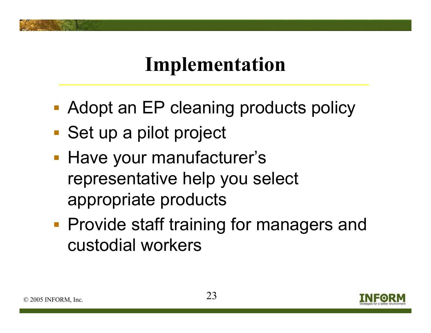### **Implementation**

- **Adopt an EP cleaning products policy**
- Set up a pilot project
- **Have your manufacturer's** representative help you select appropriate products
- **Provide staff training for managers and** custodial workers